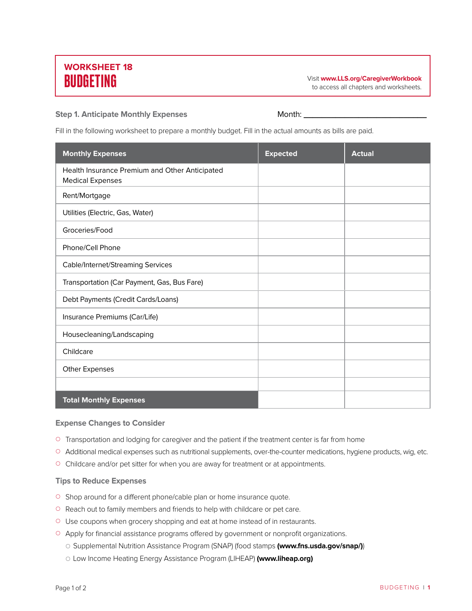# **WORKSHEET 18**

BUDGETING Visit **www.LLS.org/CaregiverWorkbook** to access all chapters and worksheets.

### **Step 1. Anticipate Monthly Expenses** Month: **\_\_\_\_\_\_\_\_\_\_\_\_\_\_\_\_\_\_\_\_\_\_\_\_\_\_\_**

Fill in the following worksheet to prepare a monthly budget. Fill in the actual amounts as bills are paid.

| <b>Monthly Expenses</b>                                                   | <b>Expected</b> | <b>Actual</b> |
|---------------------------------------------------------------------------|-----------------|---------------|
| Health Insurance Premium and Other Anticipated<br><b>Medical Expenses</b> |                 |               |
| Rent/Mortgage                                                             |                 |               |
| Utilities (Electric, Gas, Water)                                          |                 |               |
| Groceries/Food                                                            |                 |               |
| Phone/Cell Phone                                                          |                 |               |
| Cable/Internet/Streaming Services                                         |                 |               |
| Transportation (Car Payment, Gas, Bus Fare)                               |                 |               |
| Debt Payments (Credit Cards/Loans)                                        |                 |               |
| Insurance Premiums (Car/Life)                                             |                 |               |
| Housecleaning/Landscaping                                                 |                 |               |
| Childcare                                                                 |                 |               |
| <b>Other Expenses</b>                                                     |                 |               |
|                                                                           |                 |               |
| <b>Total Monthly Expenses</b>                                             |                 |               |

#### **Expense Changes to Consider**

- $\circ$  Transportation and lodging for caregiver and the patient if the treatment center is far from home
- { Additional medical expenses such as nutritional supplements, over-the-counter medications, hygiene products, wig, etc.
- <sup>O</sup> Childcare and/or pet sitter for when you are away for treatment or at appointments.

### **Tips to Reduce Expenses**

- <sup>O</sup> Shop around for a different phone/cable plan or home insurance quote.
- { Reach out to family members and friends to help with childcare or pet care.
- { Use coupons when grocery shopping and eat at home instead of in restaurants.
- <sup>O</sup> Apply for financial assistance programs offered by government or nonprofit organizations.
	- { Supplemental Nutrition Assistance Program (SNAP) (food stamps **(www.fns.usda.gov/snap/)**)
	- { Low Income Heating Energy Assistance Program (LIHEAP) **(www.liheap.org)**